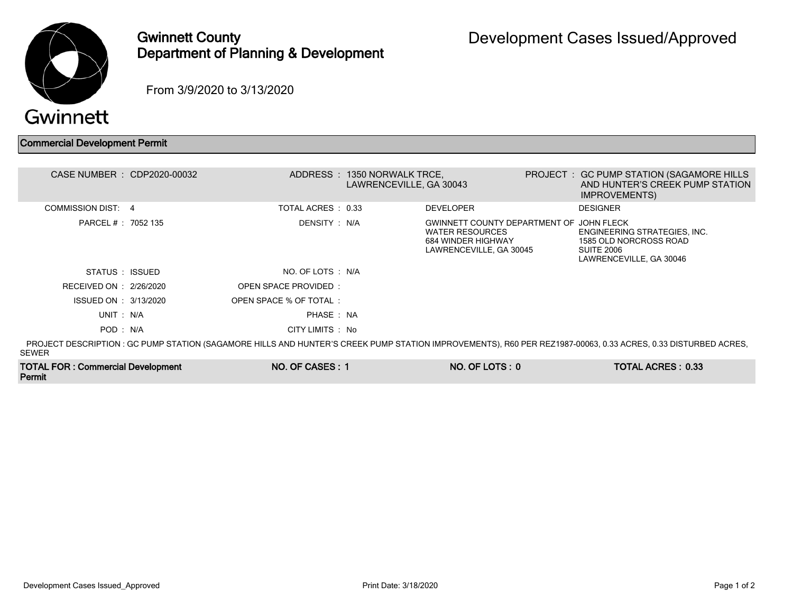

## Gwinnett County Department of Planning & Development

From 3/9/2020 to 3/13/2020

Permit

Commercial Development Permit

| CASE NUMBER : CDP2020-00032              |                             | ADDRESS: 1350 NORWALK TRCE,<br>LAWRENCEVILLE, GA 30043 |                                                                                                                     | PROJECT : GC PUMP STATION (SAGAMORE HILLS<br>AND HUNTER'S CREEK PUMP STATION<br><b>IMPROVEMENTS</b>                                                           |
|------------------------------------------|-----------------------------|--------------------------------------------------------|---------------------------------------------------------------------------------------------------------------------|---------------------------------------------------------------------------------------------------------------------------------------------------------------|
| COMMISSION DIST: 4                       | TOTAL ACRES : 0.33          |                                                        | <b>DEVELOPER</b>                                                                                                    | <b>DESIGNER</b>                                                                                                                                               |
| PARCEL # : 7052 135                      | DENSITY : N/A               |                                                        | GWINNETT COUNTY DEPARTMENT OF JOHN FLECK<br><b>WATER RESOURCES</b><br>684 WINDER HIGHWAY<br>LAWRENCEVILLE, GA 30045 | ENGINEERING STRATEGIES, INC.<br>1585 OLD NORCROSS ROAD<br><b>SUITE 2006</b><br>LAWRENCEVILLE, GA 30046                                                        |
| STATUS : ISSUED                          | NO. OF LOTS : N/A           |                                                        |                                                                                                                     |                                                                                                                                                               |
| RECEIVED ON : 2/26/2020                  | <b>OPEN SPACE PROVIDED:</b> |                                                        |                                                                                                                     |                                                                                                                                                               |
| ISSUED ON : 3/13/2020                    | OPEN SPACE % OF TOTAL:      |                                                        |                                                                                                                     |                                                                                                                                                               |
| UNIT: N/A                                | PHASE: NA                   |                                                        |                                                                                                                     |                                                                                                                                                               |
| POD: N/A                                 | CITY LIMITS : No            |                                                        |                                                                                                                     |                                                                                                                                                               |
| <b>SEWER</b>                             |                             |                                                        |                                                                                                                     | PROJECT DESCRIPTION : GC PUMP STATION (SAGAMORE HILLS AND HUNTER'S CREEK PUMP STATION IMPROVEMENTS), R60 PER REZ1987-00063, 0.33 ACRES, 0.33 DISTURBED ACRES, |
| <b>TOTAL FOR: Commercial Development</b> | NO. OF CASES: 1             |                                                        | $NO. OF  LOTS: 0$                                                                                                   | <b>TOTAL ACRES: 0.33</b>                                                                                                                                      |